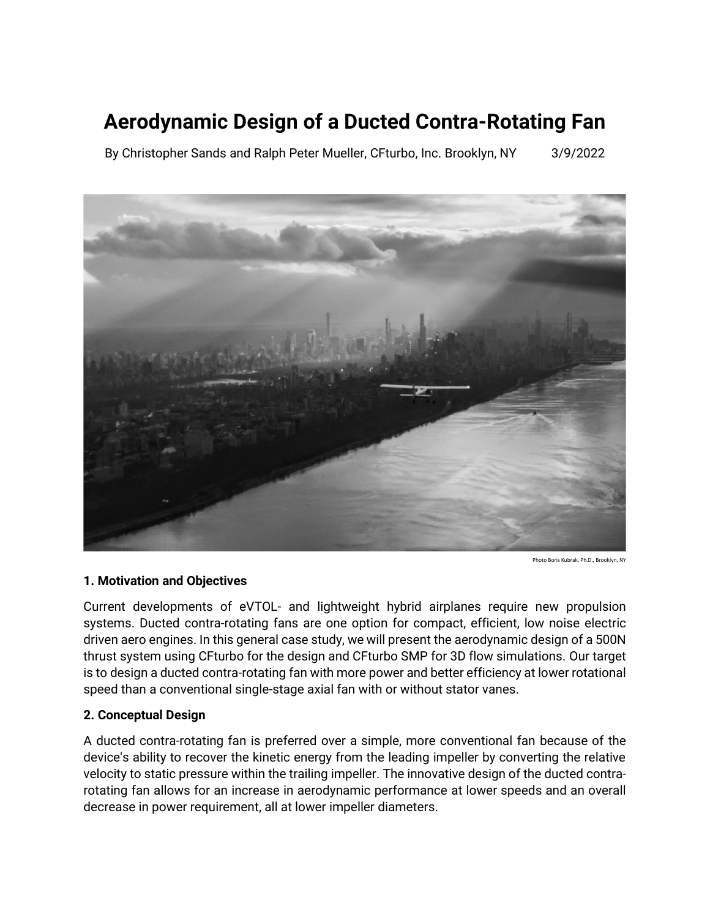### **Aerodynamic Design of a Ducted Contra-Rotating Fan**

By Christopher Sands and Ralph Peter Mueller, CFturbo, Inc. Brooklyn, NY 3/9/2022



Photo Boris Kubrak, Ph.D., Brooklyn, N

#### **1. Motivation and Objectives**

Current developments of eVTOL- and lightweight hybrid airplanes require new propulsion systems. Ducted contra-rotating fans are one option for compact, efficient, low noise electric driven aero engines. In this general case study, we will present the aerodynamic design of a 500N thrust system using CFturbo for the design and CFturbo SMP for 3D flow simulations. Our target is to design a ducted contra-rotating fan with more power and better efficiency at lower rotational speed than a conventional single-stage axial fan with or without stator vanes.

#### **2. Conceptual Design**

A ducted contra-rotating fan is preferred over a simple, more conventional fan because of the device's ability to recover the kinetic energy from the leading impeller by converting the relative velocity to static pressure within the trailing impeller. The innovative design of the ducted contrarotating fan allows for an increase in aerodynamic performance at lower speeds and an overall decrease in power requirement, all at lower impeller diameters.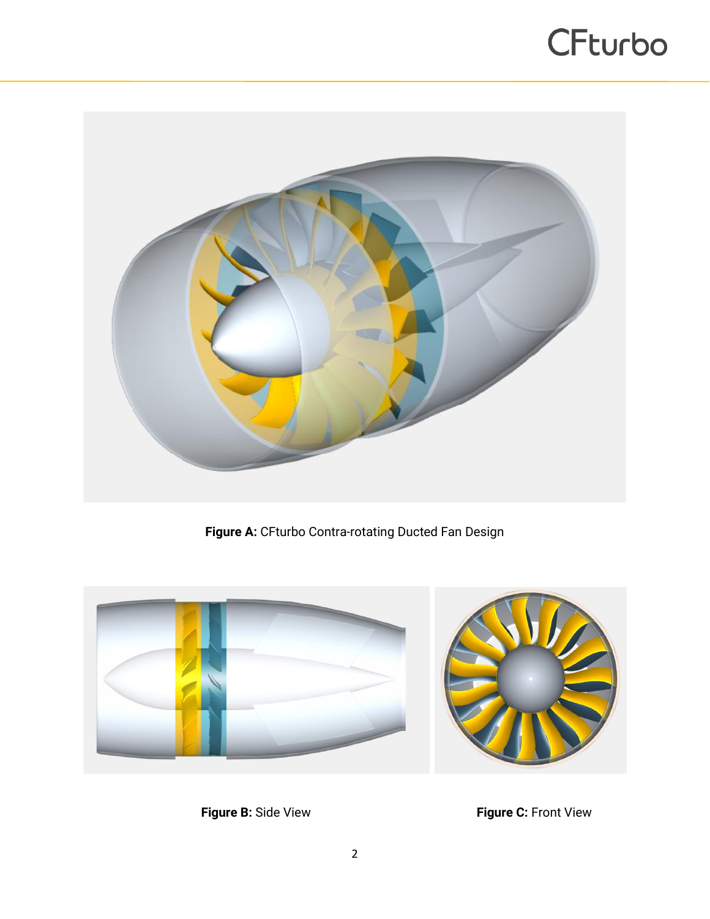

**Figure A:** CFturbo Contra-rotating Ducted Fan Design



**Figure B:** Side View **Figure C:** Front View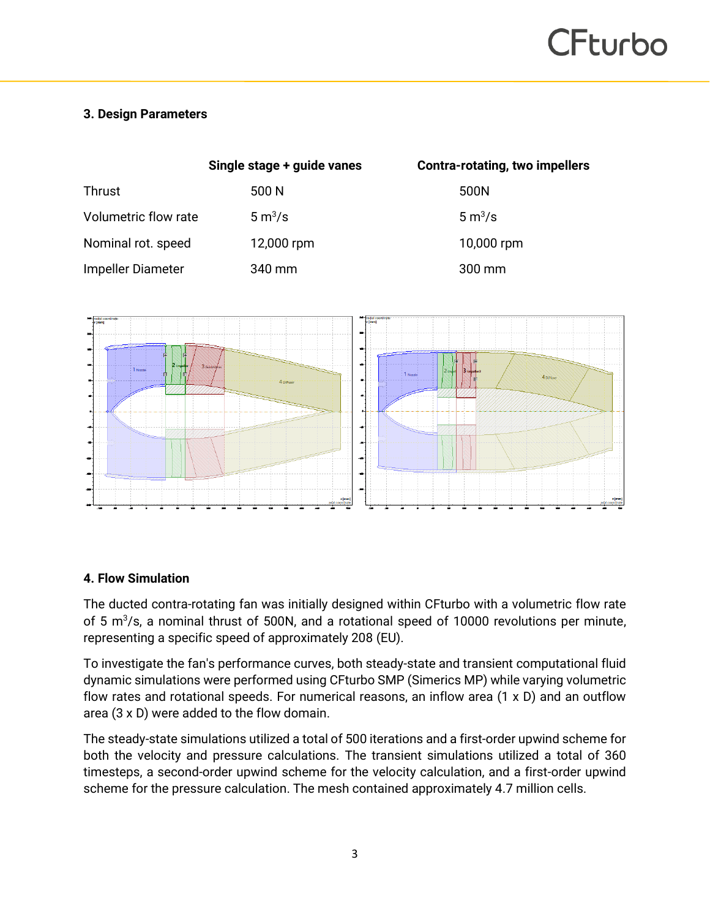#### **3. Design Parameters**

|                      | Single stage + guide vanes | <b>Contra-rotating, two impellers</b> |
|----------------------|----------------------------|---------------------------------------|
| <b>Thrust</b>        | 500 N                      | 500N                                  |
| Volumetric flow rate | 5 m <sup>3</sup> /s        | $5 \text{ m}^3/\text{s}$              |
| Nominal rot. speed   | 12,000 rpm                 | 10,000 rpm                            |
| Impeller Diameter    | 340 mm                     | $300 \,\mathrm{mm}$                   |



#### **4. Flow Simulation**

The ducted contra-rotating fan was initially designed within CFturbo with a volumetric flow rate of 5  $m^3$ /s, a nominal thrust of 500N, and a rotational speed of 10000 revolutions per minute, representing a specific speed of approximately 208 (EU).

To investigate the fan's performance curves, both steady-state and transient computational fluid dynamic simulations were performed using CFturbo SMP (Simerics MP) while varying volumetric flow rates and rotational speeds. For numerical reasons, an inflow area (1 x D) and an outflow area (3 x D) were added to the flow domain.

The steady-state simulations utilized a total of 500 iterations and a first-order upwind scheme for both the velocity and pressure calculations. The transient simulations utilized a total of 360 timesteps, a second-order upwind scheme for the velocity calculation, and a first-order upwind scheme for the pressure calculation. The mesh contained approximately 4.7 million cells.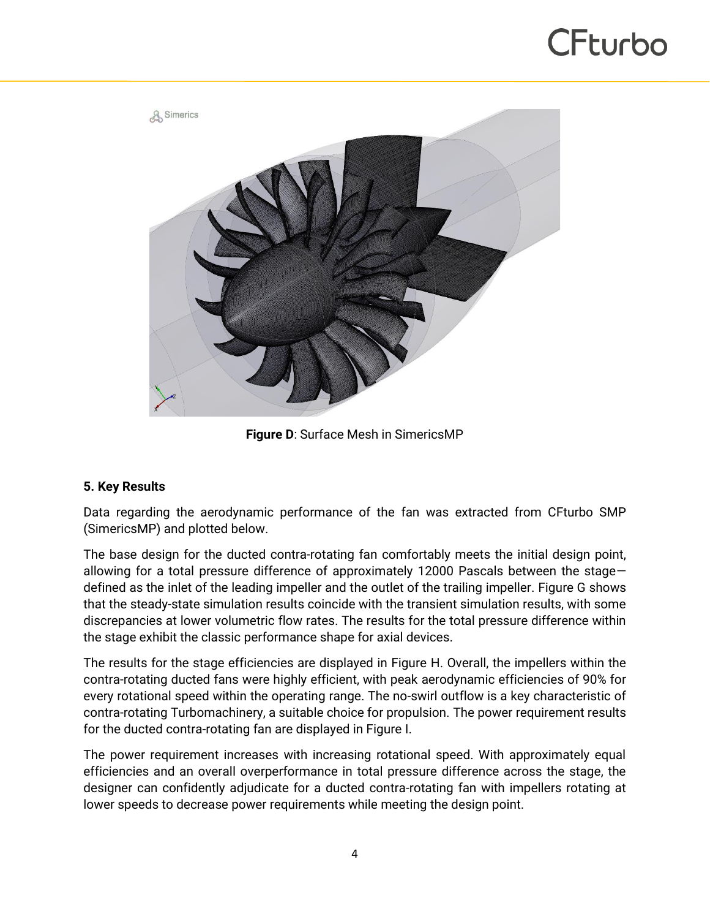

**Figure D**: Surface Mesh in SimericsMP

#### **5. Key Results**

Data regarding the aerodynamic performance of the fan was extracted from CFturbo SMP (SimericsMP) and plotted below.

The base design for the ducted contra-rotating fan comfortably meets the initial design point, allowing for a total pressure difference of approximately 12000 Pascals between the stage defined as the inlet of the leading impeller and the outlet of the trailing impeller. Figure G shows that the steady-state simulation results coincide with the transient simulation results, with some discrepancies at lower volumetric flow rates. The results for the total pressure difference within the stage exhibit the classic performance shape for axial devices.

The results for the stage efficiencies are displayed in Figure H. Overall, the impellers within the contra-rotating ducted fans were highly efficient, with peak aerodynamic efficiencies of 90% for every rotational speed within the operating range. The no-swirl outflow is a key characteristic of contra-rotating Turbomachinery, a suitable choice for propulsion. The power requirement results for the ducted contra-rotating fan are displayed in Figure I.

The power requirement increases with increasing rotational speed. With approximately equal efficiencies and an overall overperformance in total pressure difference across the stage, the designer can confidently adjudicate for a ducted contra-rotating fan with impellers rotating at lower speeds to decrease power requirements while meeting the design point.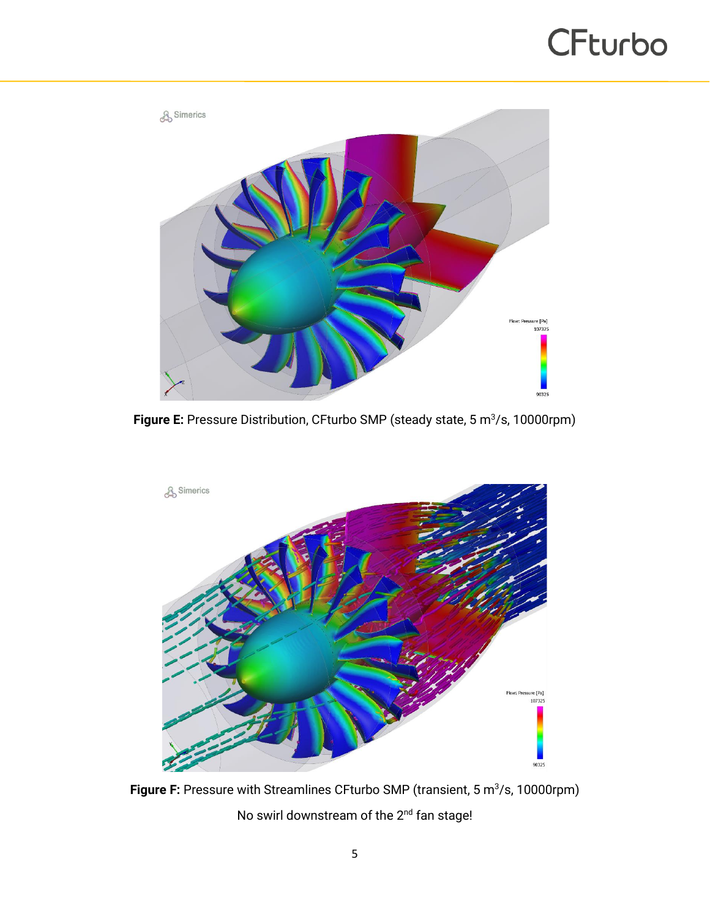

**Figure E:** Pressure Distribution, CFturbo SMP (steady state, 5 m<sup>3</sup>/s, 10000rpm)



**Figure F:** Pressure with Streamlines CFturbo SMP (transient, 5 m<sup>3</sup>/s, 10000rpm) No swirl downstream of the 2<sup>nd</sup> fan stage!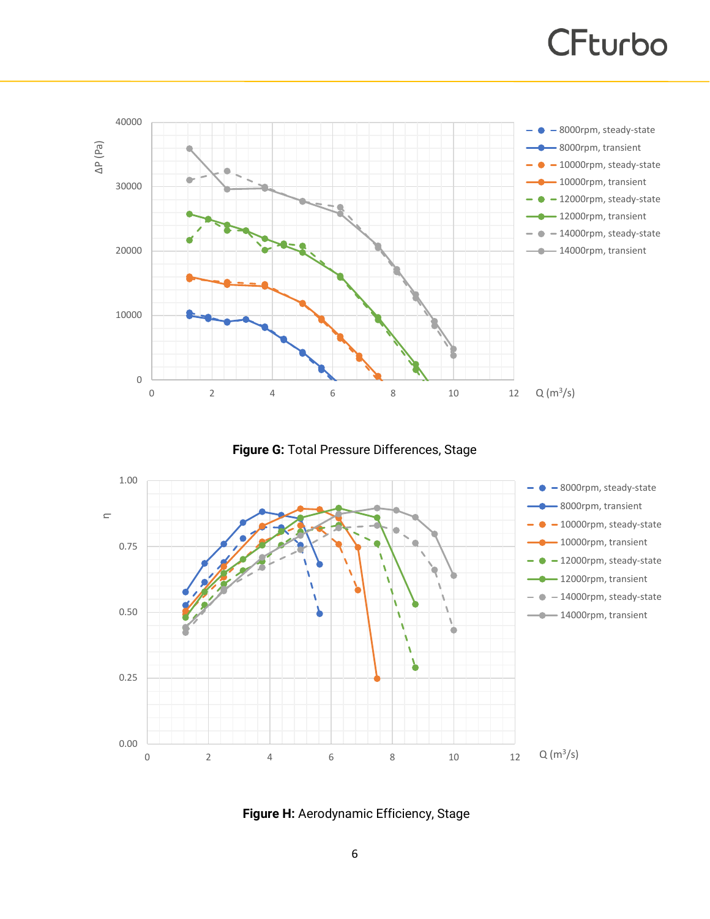

**Figure G:** Total Pressure Differences, Stage



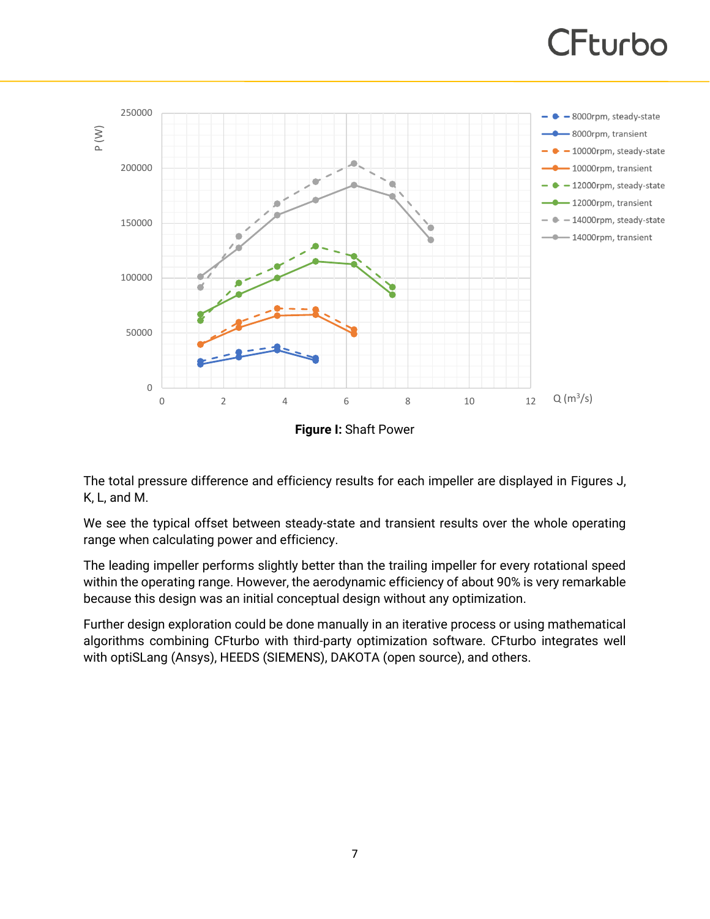

The total pressure difference and efficiency results for each impeller are displayed in Figures J, K, L, and M.

We see the typical offset between steady-state and transient results over the whole operating range when calculating power and efficiency.

The leading impeller performs slightly better than the trailing impeller for every rotational speed within the operating range. However, the aerodynamic efficiency of about 90% is very remarkable because this design was an initial conceptual design without any optimization.

Further design exploration could be done manually in an iterative process or using mathematical algorithms combining CFturbo with third-party optimization software. CFturbo integrates well with optiSLang (Ansys), HEEDS (SIEMENS), DAKOTA (open source), and others.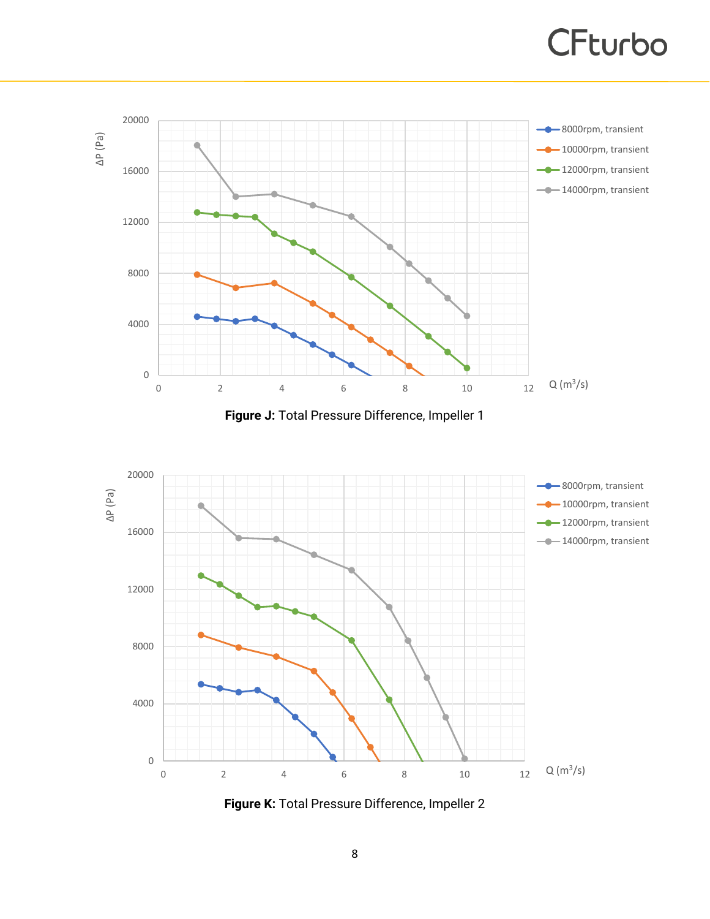

**Figure J:** Total Pressure Difference, Impeller 1



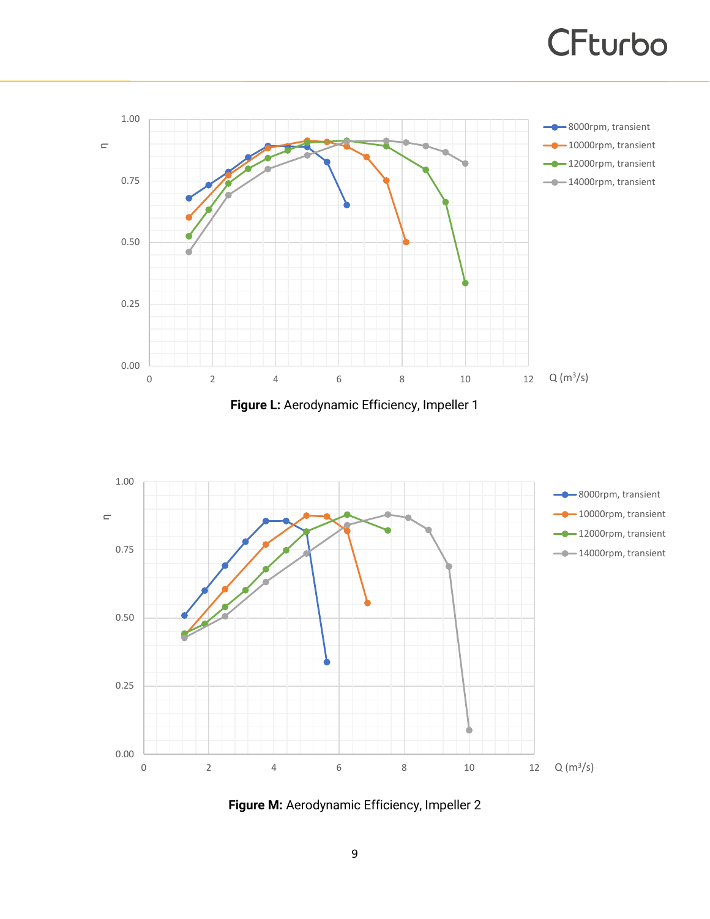

**Figure L:** Aerodynamic Efficiency, Impeller 1



**Figure M:** Aerodynamic Efficiency, Impeller 2